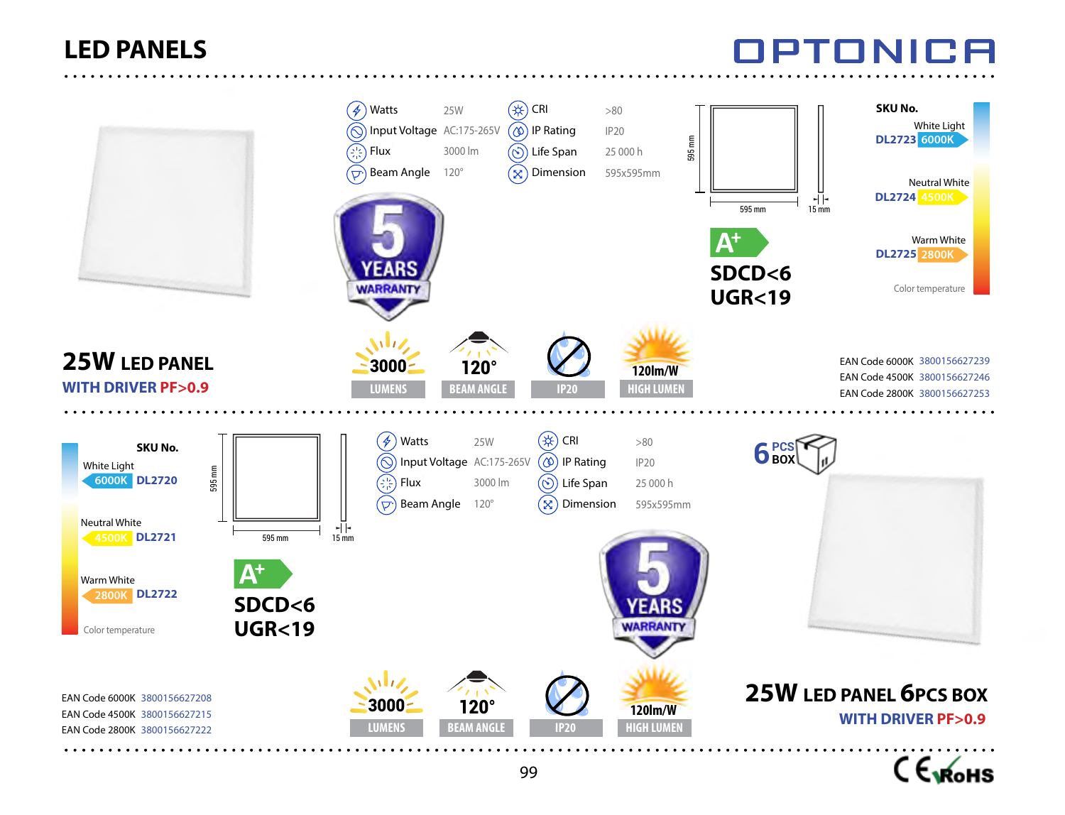# NPTONICA



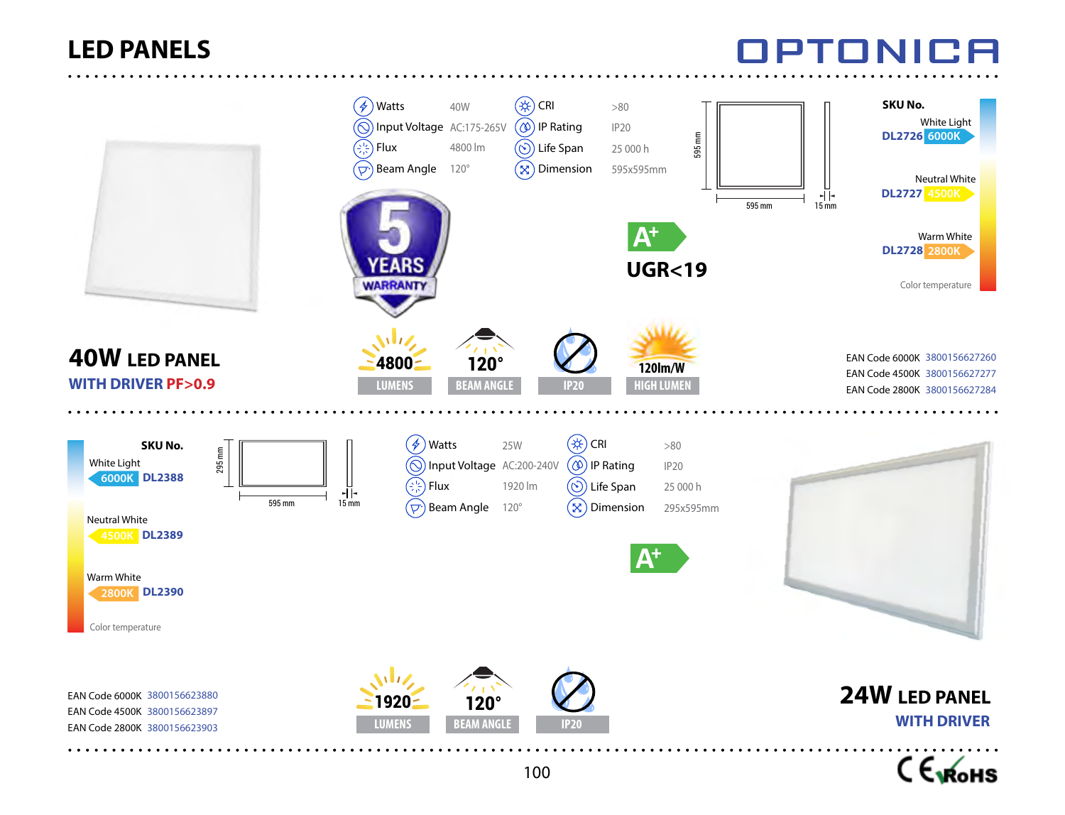## OPTONICA



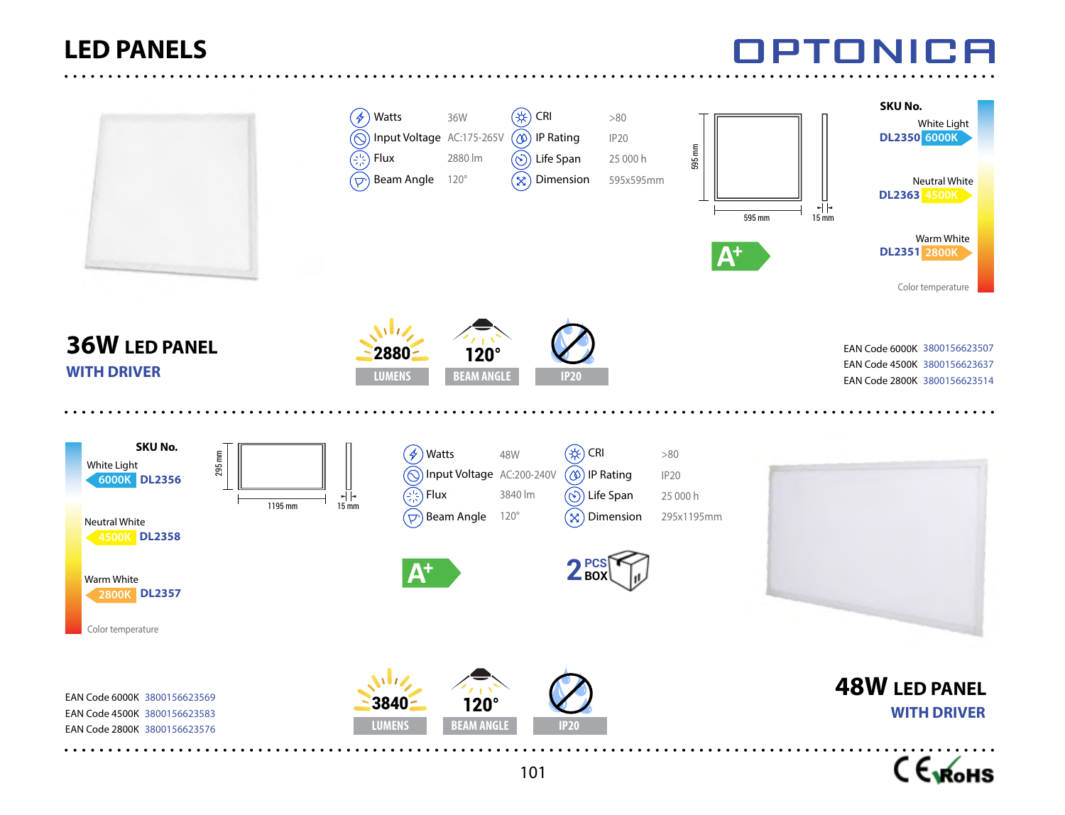# EENH



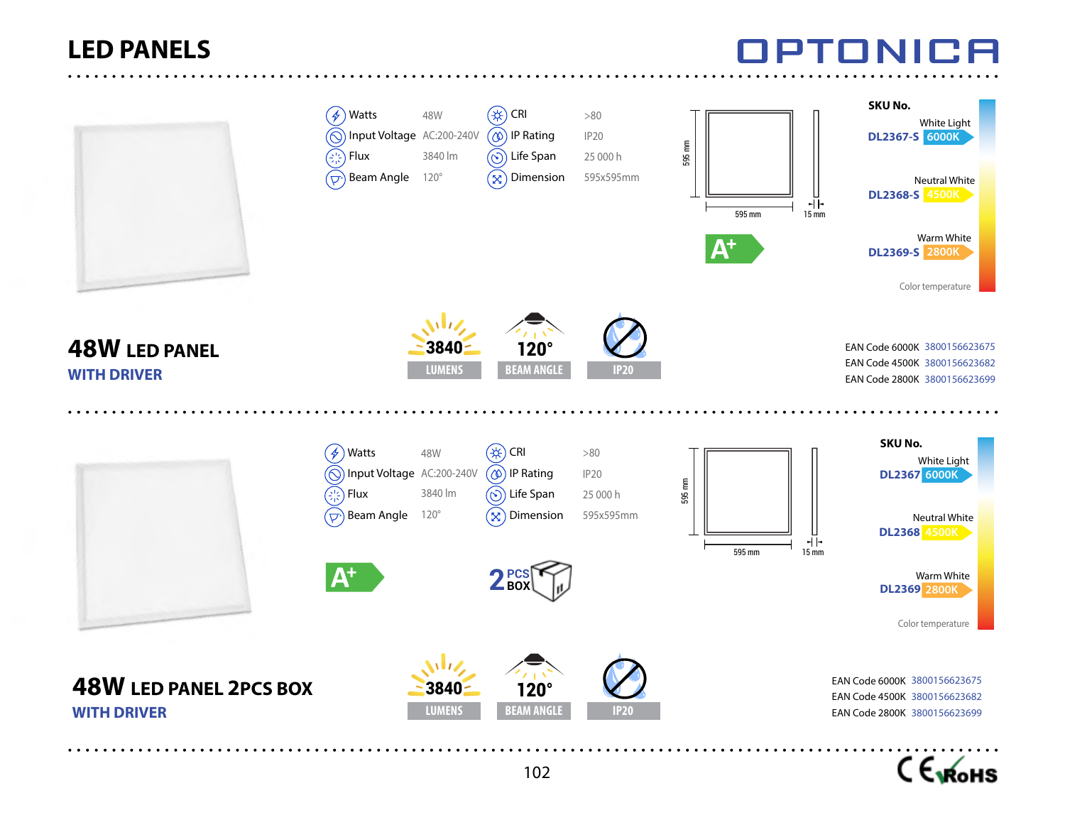## TONICA



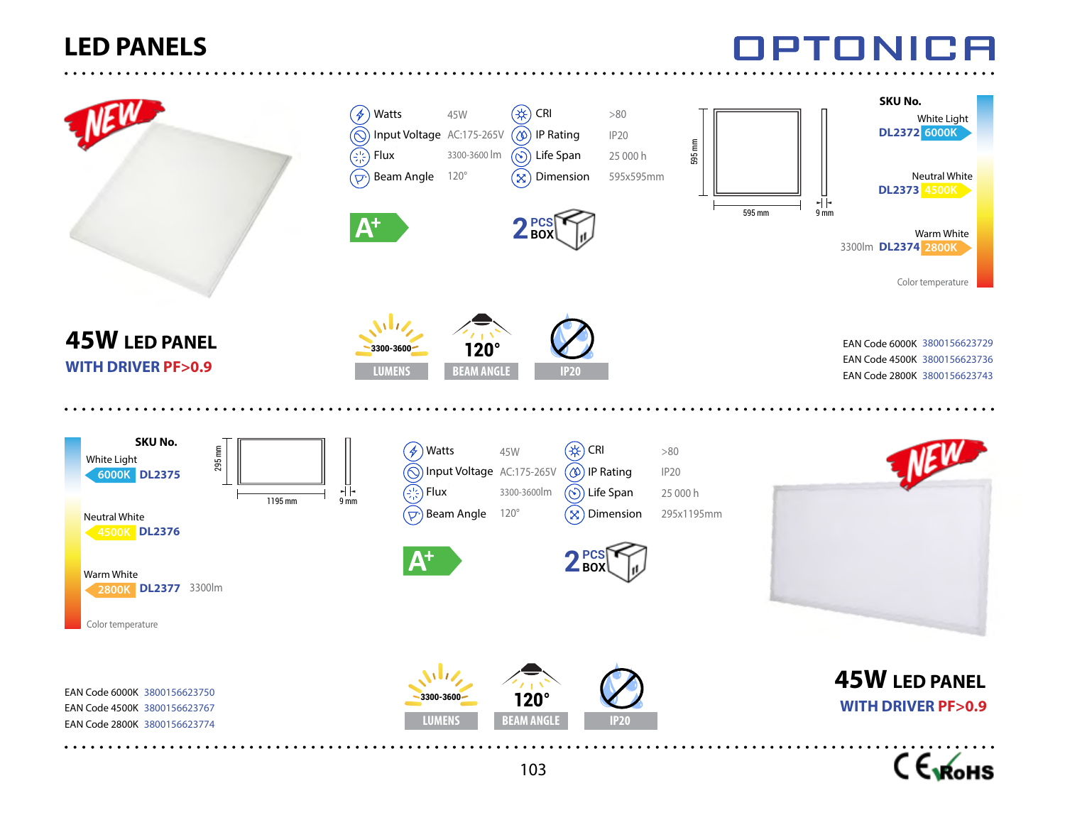



IPTONICA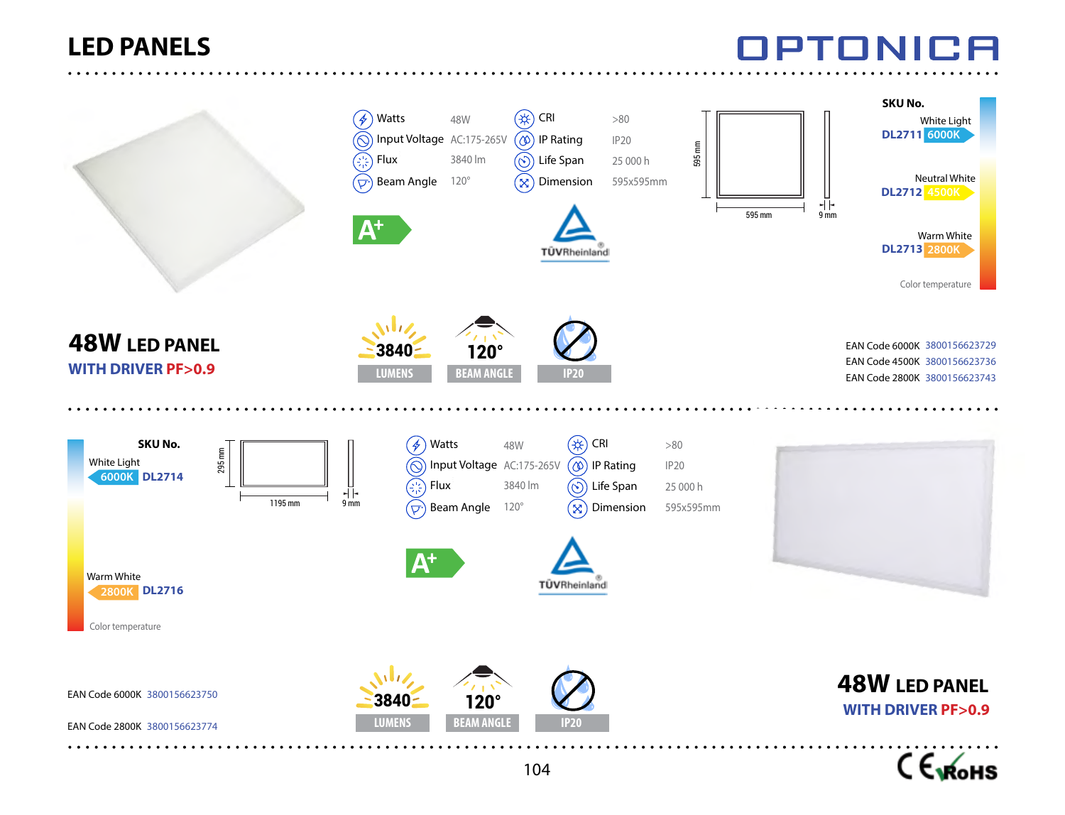# TONICA



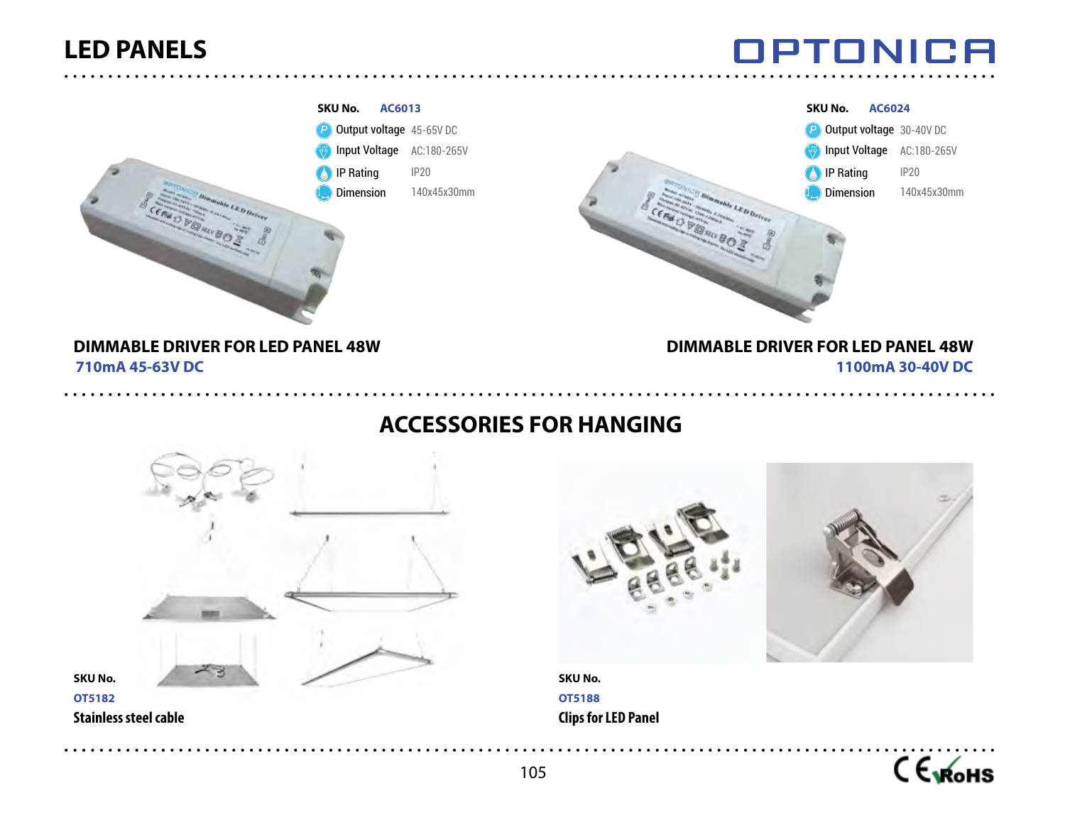**OPTONICA** 



#### **ACCESSORIES FOR HANGING**





**SKU No. OT5188 Clips for LED Panel**